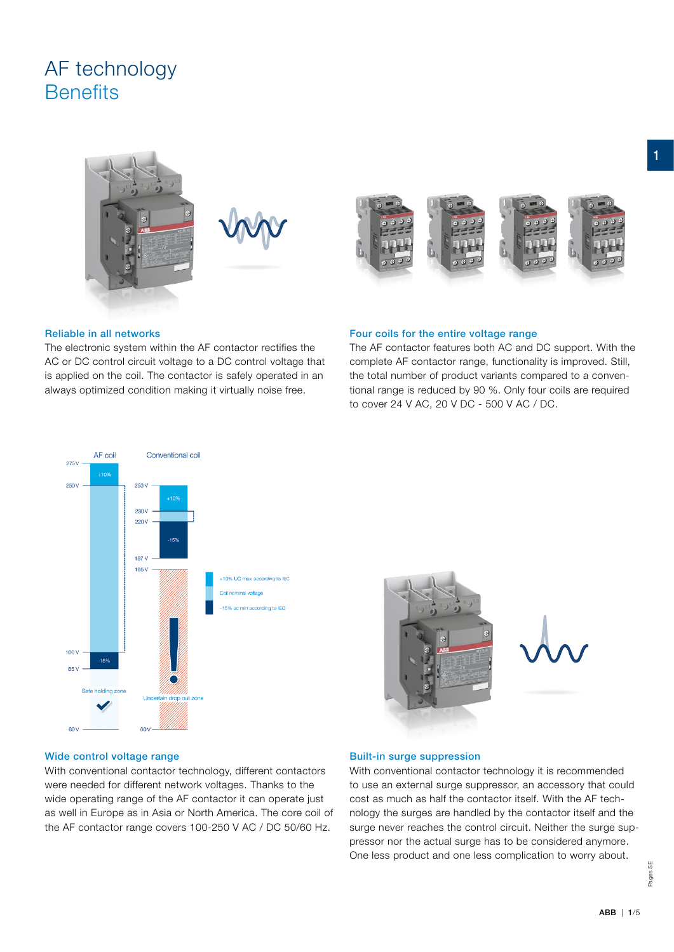# AF technology **Benefits**



### Reliable in all networks

The electronic system within the AF contactor rectifies the AC or DC control circuit voltage to a DC control voltage that is applied on the coil. The contactor is safely operated in an always optimized condition making it virtually noise free.

# Four coils for the entire voltage range

The AF contactor features both AC and DC support. With the complete AF contactor range, functionality is improved. Still, the total number of product variants compared to a conventional range is reduced by 90 %. Only four coils are required to cover 24 V AC, 20 V DC - 500 V AC / DC.





# Wide control voltage range

With conventional contactor technology, different contactors were needed for different network voltages. Thanks to the wide operating range of the AF contactor it can operate just as well in Europe as in Asia or North America. The core coil of the AF contactor range covers 100-250 V AC / DC 50/60 Hz.

#### Built-in surge suppression

With conventional contactor technology it is recommended to use an external surge suppressor, an accessory that could cost as much as half the contactor itself. With the AF technology the surges are handled by the contactor itself and the surge never reaches the control circuit. Neither the surge suppressor nor the actual surge has to be considered anymore. One less product and one less complication to worry about.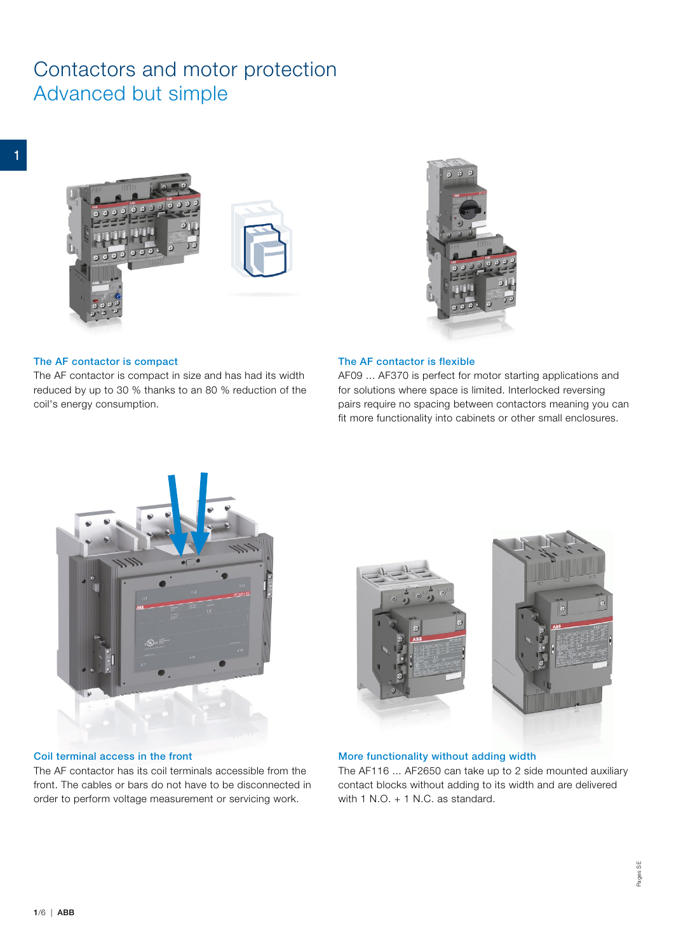# Contactors and motor protection Advanced but simple





# The AF contactor is compact

The AF contactor is compact in size and has had its width reduced by up to 30 % thanks to an 80 % reduction of the coil's energy consumption.

#### The AF contactor is flexible

AF09 ... AF370 is perfect for motor starting applications and for solutions where space is limited. Interlocked reversing pairs require no spacing between contactors meaning you can fit more functionality into cabinets or other small enclosures.



# Coil terminal access in the front

The AF contactor has its coil terminals accessible from the front. The cables or bars do not have to be disconnected in order to perform voltage measurement or servicing work.





# More functionality without adding width

The AF116 ... AF2650 can take up to 2 side mounted auxiliary contact blocks without adding to its width and are delivered with 1 N.O. + 1 N.C. as standard.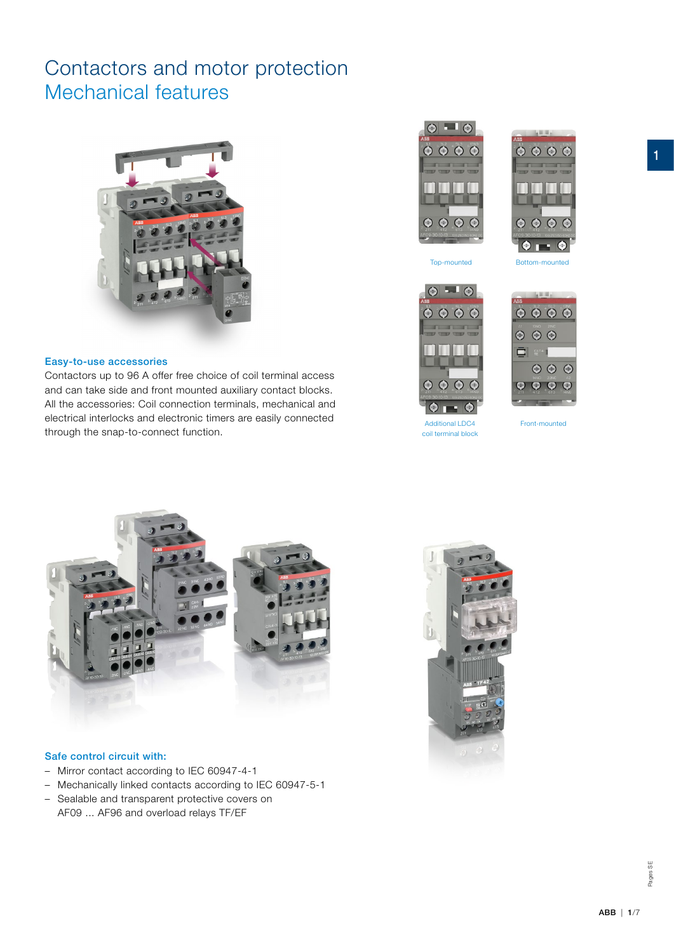# Contactors and motor protection Mechanical features



### Easy-to-use accessories

Contactors up to 96 A offer free choice of coil terminal access and can take side and front mounted auxiliary contact blocks. All the accessories: Coil connection terminals, mechanical and electrical interlocks and electronic timers are easily connected through the snap-to-connect function.





1









Additional LDC4 Front-mounted coil terminal block





### Safe control circuit with:

- Mirror contact according to IEC 60947-4-1
- Mechanically linked contacts according to IEC 60947-5-1
- Sealable and transparent protective covers on AF09 ... AF96 and overload relays TF/EF



Pages SE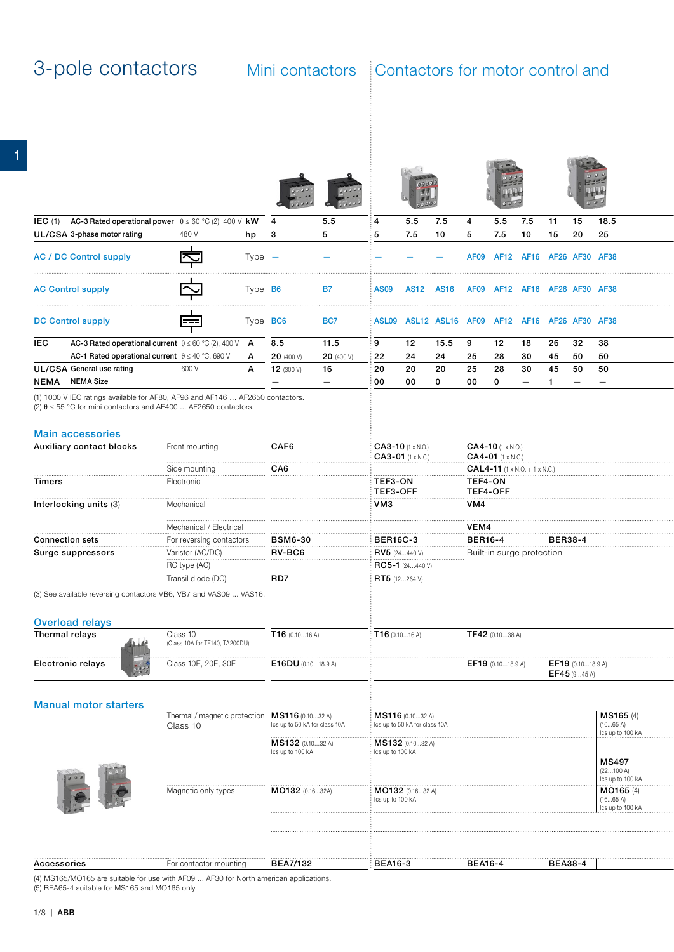1

| IEC (1) AC-3 Rated operational power $\theta \le 60$ °C (2), 400 V kW 4                                                                                   |                                                |                 |                               | 5.5                             |                  | 5.5                                             | 7.5          | 4                                                        | $5.5$ 7.5                     |                  | 11             | 15                | 18.5                          |  |
|-----------------------------------------------------------------------------------------------------------------------------------------------------------|------------------------------------------------|-----------------|-------------------------------|---------------------------------|------------------|-------------------------------------------------|--------------|----------------------------------------------------------|-------------------------------|------------------|----------------|-------------------|-------------------------------|--|
| UL/CSA 3-phase motor rating                                                                                                                               | 480 V                                          | hp 3            |                               | 5 <sup>5</sup>                  | $5^{\circ}$      | 7.5                                             | 10           | $5^{\circ}$                                              | 7.5                           | 10               | 15             | 20                | 25                            |  |
|                                                                                                                                                           |                                                |                 |                               |                                 |                  |                                                 |              |                                                          |                               |                  |                |                   |                               |  |
| <b>AC / DC Control supply</b>                                                                                                                             | 中                                              | Type -          |                               |                                 |                  |                                                 |              |                                                          | AF09 AF12 AF16 AF26 AF30 AF38 |                  |                |                   |                               |  |
| <b>AC Control supply</b>                                                                                                                                  | 中                                              | Type <b>B6</b>  |                               | <b>B7</b>                       | <b>AS09</b>      | <b>AS12 AS16</b>                                |              | AF09 AF12 AF16 AF26 AF30 AF38                            |                               |                  |                |                   |                               |  |
| <b>DC Control supply</b>                                                                                                                                  | 孛                                              | Type <b>BC6</b> |                               | BC7                             |                  | ASL09 ASL12 ASL16 AF09 AF12 AF16 AF26 AF30 AF38 |              |                                                          |                               |                  |                |                   |                               |  |
| <b>IEC</b><br>AC-3 Rated operational current $\theta \le 60^{\circ}C(2)$ , 400 V A                                                                        |                                                |                 | 8.5                           | 11.5                            | 9                | 12                                              | 15.5         | ∣9                                                       | 12                            | 18               | 26             | 32                | 38                            |  |
| AC-1 Rated operational current $\theta \le 40^{\circ}$ C, 690 V                                                                                           |                                                | $\mathsf{A}$    | <b>20</b> (400 V)             | <b>20</b> (400 V)               | 22               | 24                                              | 24           | 25                                                       | 28                            | 30               | 45             | 50                | 50                            |  |
| <b>UL/CSA General use rating</b>                                                                                                                          |                                                |                 |                               |                                 |                  |                                                 |              |                                                          |                               |                  |                |                   |                               |  |
|                                                                                                                                                           | 600 V                                          |                 | $A$ 12 (300 V)                | 16                              | 20               | 20                                              | 20           | 25                                                       | 28                            | 30               | 45 50          |                   | 50                            |  |
| NEMA NEMA Size                                                                                                                                            |                                                |                 | $\qquad \qquad -$             | $\hspace{0.1mm}-\hspace{0.1mm}$ | 00               | 00                                              | $\mathbf{0}$ | 00<br>$\overline{\mathbf{0}}$                            |                               | $\hspace{0.1mm}$ | 11.            |                   |                               |  |
| (1) 1000 V IEC ratings available for AF80, AF96 and AF146  AF2650 contactors.<br>(2) $\theta \le 55$ °C for mini contactors and AF400  AF2650 contactors. |                                                |                 |                               |                                 |                  |                                                 |              |                                                          |                               |                  |                |                   |                               |  |
| <b>Main accessories</b>                                                                                                                                   |                                                |                 |                               |                                 |                  |                                                 |              |                                                          |                               |                  |                |                   |                               |  |
| Auxiliary contact blocks                                                                                                                                  | Front mounting                                 |                 | CAF6                          |                                 |                  | CA3-10 (1 x N.O.)<br>$CAA3-01$ (1 x N.C.)       |              | $\mathbf{CA4-10}$ (1 x N.O.)<br>$CAA-01$ (1 x N.C.)      |                               |                  |                |                   |                               |  |
|                                                                                                                                                           | Side mounting                                  |                 | CA6                           |                                 |                  |                                                 |              | $\mathbf{CAL4}\text{-}\mathbf{11}$ (1 x N.O. + 1 x N.C.) |                               |                  |                |                   |                               |  |
| <b>Timers</b>                                                                                                                                             | Electronic                                     |                 |                               |                                 | TEF3-ON          |                                                 |              | TEF4-ON                                                  |                               |                  |                |                   |                               |  |
|                                                                                                                                                           |                                                |                 |                               |                                 | TEF3-OFF         |                                                 |              | TEF4-OFF                                                 |                               |                  |                |                   |                               |  |
| Interlocking units (3)                                                                                                                                    | Mechanical                                     |                 |                               |                                 | VM <sub>3</sub>  |                                                 |              | VM4                                                      |                               |                  |                |                   |                               |  |
|                                                                                                                                                           | Mechanical / Electrical                        |                 |                               |                                 |                  |                                                 |              | VEM4                                                     |                               |                  |                |                   |                               |  |
| <b>Connection sets</b>                                                                                                                                    | For reversing contactors                       |                 | <b>BSM6-30</b>                |                                 | <b>BER16C-3</b>  |                                                 |              | <b>BER16-4</b>                                           |                               |                  | <b>BER38-4</b> |                   |                               |  |
|                                                                                                                                                           |                                                |                 |                               |                                 |                  |                                                 |              |                                                          |                               |                  |                |                   |                               |  |
| Surge suppressors                                                                                                                                         | Varistor (AC/DC)                               |                 | RV-BC6                        |                                 |                  | RV5 (24440 V)                                   |              | Built-in surge protection                                |                               |                  |                |                   |                               |  |
|                                                                                                                                                           | RC type (AC)                                   |                 |                               |                                 |                  | RC5-1 (24440 V)                                 |              |                                                          |                               |                  |                |                   |                               |  |
|                                                                                                                                                           | Transil diode (DC)                             |                 | RD7                           |                                 |                  | <b>RT5</b> (12264 V)                            |              |                                                          |                               |                  |                |                   |                               |  |
| (3) See available reversing contactors VB6, VB7 and VAS09  VAS16.                                                                                         |                                                |                 |                               |                                 |                  |                                                 |              |                                                          |                               |                  |                |                   |                               |  |
|                                                                                                                                                           |                                                |                 |                               |                                 |                  |                                                 |              |                                                          |                               |                  |                |                   |                               |  |
|                                                                                                                                                           |                                                |                 |                               |                                 |                  |                                                 |              |                                                          |                               |                  |                |                   |                               |  |
| <b>Overload relays</b>                                                                                                                                    |                                                |                 |                               |                                 |                  |                                                 |              |                                                          |                               |                  |                |                   |                               |  |
| Thermal relays                                                                                                                                            | Class 10                                       |                 | $T16$ (0.1016 A)              |                                 |                  | T16(0.1016 A)                                   |              | $\sqrt{TP42}$ (0.1038 A)                                 |                               |                  |                |                   |                               |  |
| غننف                                                                                                                                                      | (Class 10A for TF140, TA200DU)                 |                 |                               |                                 |                  |                                                 |              |                                                          |                               |                  |                |                   |                               |  |
| Electronic relays                                                                                                                                         | Class 10E, 20E, 30E                            |                 | $E16DU$ (0.1018.9 A)          |                                 |                  |                                                 |              | EF19 (0.1018.9 A)                                        |                               |                  |                | EF19 (0.1018.9 A) |                               |  |
|                                                                                                                                                           |                                                |                 |                               |                                 |                  |                                                 |              |                                                          |                               |                  |                | EF45 (945 A)      |                               |  |
|                                                                                                                                                           |                                                |                 |                               |                                 |                  |                                                 |              |                                                          |                               |                  |                |                   |                               |  |
|                                                                                                                                                           |                                                |                 |                               |                                 |                  |                                                 |              |                                                          |                               |                  |                |                   |                               |  |
| <b>Manual motor starters</b>                                                                                                                              |                                                |                 |                               |                                 |                  |                                                 |              |                                                          |                               |                  |                |                   |                               |  |
|                                                                                                                                                           | Thermal / magnetic protection MS116 (0.1032 A) |                 |                               |                                 |                  | MS116 (0.1032 A)                                |              |                                                          |                               |                  |                |                   | MS165 (4)                     |  |
|                                                                                                                                                           | Class 10                                       |                 | Ics up to 50 kA for class 10A |                                 |                  | Ics up to 50 kA for class 10A                   |              |                                                          |                               |                  |                |                   | (1065 A)<br>Ics up to 100 kA  |  |
|                                                                                                                                                           |                                                |                 | MS132 (0.1032 A)              |                                 |                  | MS132 (0.1032 A)                                |              |                                                          |                               |                  |                |                   |                               |  |
|                                                                                                                                                           |                                                |                 | Ics up to 100 kA              |                                 | Ics up to 100 kA |                                                 |              |                                                          |                               |                  |                |                   |                               |  |
|                                                                                                                                                           |                                                |                 |                               |                                 |                  |                                                 |              |                                                          |                               |                  |                |                   | <b>MS497</b>                  |  |
|                                                                                                                                                           |                                                |                 |                               |                                 |                  |                                                 |              |                                                          |                               |                  |                |                   | (22100 A)<br>Ics up to 100 kA |  |
|                                                                                                                                                           |                                                |                 |                               |                                 |                  |                                                 |              |                                                          |                               |                  |                |                   |                               |  |
|                                                                                                                                                           | Magnetic only types                            |                 | MO132 (0.1632A)               |                                 | lcs up to 100 kA | MO132 (0.1632 A)                                |              |                                                          |                               |                  |                |                   | MO165 (4)<br>(1665 A)         |  |
|                                                                                                                                                           |                                                |                 |                               |                                 |                  |                                                 |              |                                                          |                               |                  |                |                   | Ics up to 100 kA              |  |
|                                                                                                                                                           |                                                |                 |                               |                                 |                  |                                                 |              |                                                          |                               |                  |                |                   |                               |  |
|                                                                                                                                                           |                                                |                 |                               |                                 |                  |                                                 |              |                                                          |                               |                  |                |                   |                               |  |
|                                                                                                                                                           |                                                |                 |                               |                                 |                  |                                                 |              |                                                          |                               |                  |                |                   |                               |  |
|                                                                                                                                                           |                                                |                 |                               |                                 |                  |                                                 |              |                                                          |                               |                  |                |                   |                               |  |
| Accessories                                                                                                                                               | For contactor mounting                         |                 | <b>BEA7/132</b>               |                                 | <b>BEA16-3</b>   |                                                 |              | <b>BEA16-4</b>                                           |                               |                  | <b>BEA38-4</b> |                   |                               |  |

(4) MS165/MO165 are suitable for use with AF09 ... AF30 for North american applications. (5) BEA65-4 suitable for MS165 and MO165 only.